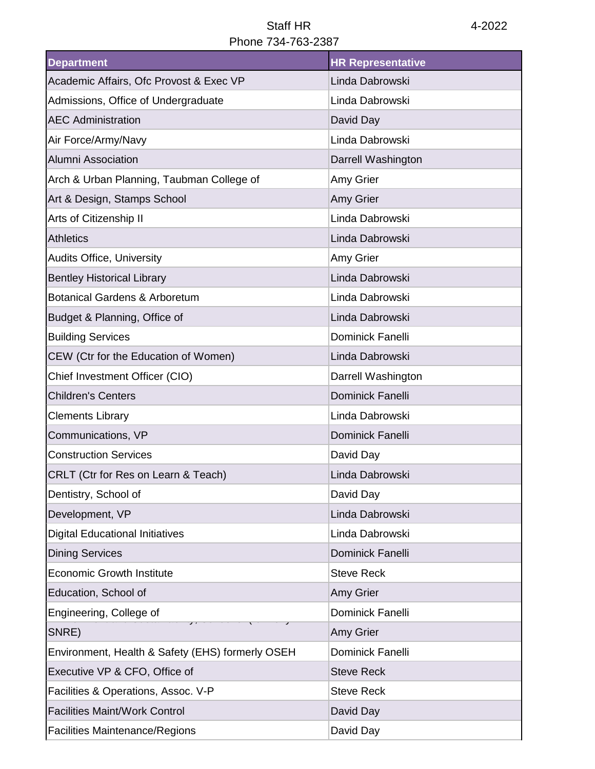## Staff HR 4-2022 Phone 734-763-2387

| <b>Department</b>                                | <b>HR Representative</b> |
|--------------------------------------------------|--------------------------|
| Academic Affairs, Ofc Provost & Exec VP          | Linda Dabrowski          |
| Admissions, Office of Undergraduate              | Linda Dabrowski          |
| <b>AEC Administration</b>                        | David Day                |
| Air Force/Army/Navy                              | Linda Dabrowski          |
| <b>Alumni Association</b>                        | Darrell Washington       |
| Arch & Urban Planning, Taubman College of        | Amy Grier                |
| Art & Design, Stamps School                      | Amy Grier                |
| Arts of Citizenship II                           | Linda Dabrowski          |
| <b>Athletics</b>                                 | Linda Dabrowski          |
| <b>Audits Office, University</b>                 | Amy Grier                |
| <b>Bentley Historical Library</b>                | Linda Dabrowski          |
| <b>Botanical Gardens &amp; Arboretum</b>         | Linda Dabrowski          |
| Budget & Planning, Office of                     | Linda Dabrowski          |
| <b>Building Services</b>                         | <b>Dominick Fanelli</b>  |
| CEW (Ctr for the Education of Women)             | Linda Dabrowski          |
| Chief Investment Officer (CIO)                   | Darrell Washington       |
| <b>Children's Centers</b>                        | <b>Dominick Fanelli</b>  |
| <b>Clements Library</b>                          | Linda Dabrowski          |
| Communications, VP                               | <b>Dominick Fanelli</b>  |
| <b>Construction Services</b>                     | David Day                |
| CRLT (Ctr for Res on Learn & Teach)              | Linda Dabrowski          |
| Dentistry, School of                             | David Day                |
| Development, VP                                  | Linda Dabrowski          |
| <b>Digital Educational Initiatives</b>           | Linda Dabrowski          |
| <b>Dining Services</b>                           | Dominick Fanelli         |
| <b>Economic Growth Institute</b>                 | <b>Steve Reck</b>        |
| Education, School of                             | Amy Grier                |
| Engineering, College of                          | Dominick Fanelli         |
| SNRE)                                            | Amy Grier                |
| Environment, Health & Safety (EHS) formerly OSEH | <b>Dominick Fanelli</b>  |
| Executive VP & CFO, Office of                    | <b>Steve Reck</b>        |
| Facilities & Operations, Assoc. V-P              | <b>Steve Reck</b>        |
| <b>Facilities Maint/Work Control</b>             | David Day                |
| <b>Facilities Maintenance/Regions</b>            | David Day                |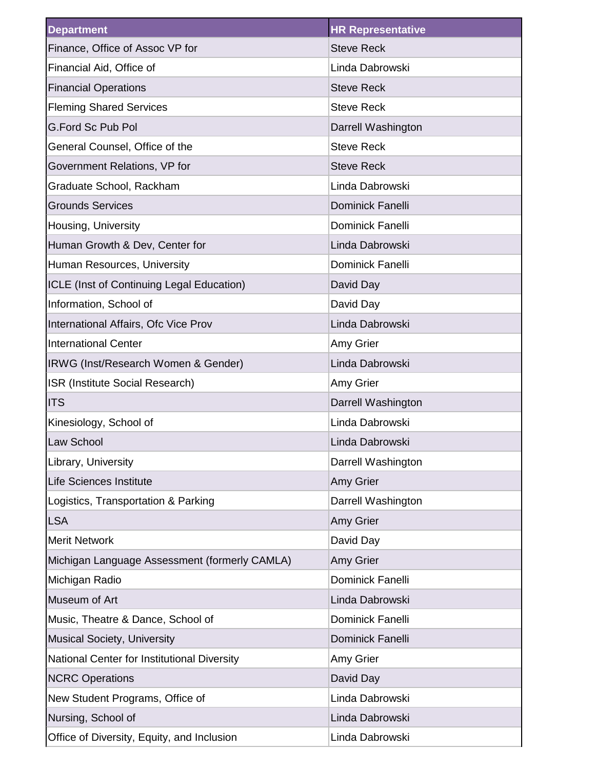| <b>Department</b>                             | <b>HR Representative</b> |
|-----------------------------------------------|--------------------------|
| Finance, Office of Assoc VP for               | <b>Steve Reck</b>        |
| Financial Aid, Office of                      | Linda Dabrowski          |
| <b>Financial Operations</b>                   | <b>Steve Reck</b>        |
| <b>Fleming Shared Services</b>                | <b>Steve Reck</b>        |
| <b>G.Ford Sc Pub Pol</b>                      | Darrell Washington       |
| General Counsel, Office of the                | <b>Steve Reck</b>        |
| Government Relations, VP for                  | <b>Steve Reck</b>        |
| Graduate School, Rackham                      | Linda Dabrowski          |
| <b>Grounds Services</b>                       | <b>Dominick Fanelli</b>  |
| Housing, University                           | <b>Dominick Fanelli</b>  |
| Human Growth & Dev, Center for                | Linda Dabrowski          |
| Human Resources, University                   | <b>Dominick Fanelli</b>  |
| ICLE (Inst of Continuing Legal Education)     | David Day                |
| Information, School of                        | David Day                |
| International Affairs, Ofc Vice Prov          | Linda Dabrowski          |
| <b>International Center</b>                   | Amy Grier                |
| IRWG (Inst/Research Women & Gender)           | Linda Dabrowski          |
| ISR (Institute Social Research)               | Amy Grier                |
| <b>ITS</b>                                    | Darrell Washington       |
| Kinesiology, School of                        | Linda Dabrowski          |
| Law School                                    | Linda Dabrowski          |
| Library, University                           | Darrell Washington       |
| <b>Life Sciences Institute</b>                | Amy Grier                |
| Logistics, Transportation & Parking           | Darrell Washington       |
| <b>LSA</b>                                    | Amy Grier                |
| <b>Merit Network</b>                          | David Day                |
| Michigan Language Assessment (formerly CAMLA) | Amy Grier                |
| Michigan Radio                                | Dominick Fanelli         |
| Museum of Art                                 | Linda Dabrowski          |
| Music, Theatre & Dance, School of             | Dominick Fanelli         |
| <b>Musical Society, University</b>            | Dominick Fanelli         |
| National Center for Institutional Diversity   | Amy Grier                |
| <b>NCRC Operations</b>                        | David Day                |
| New Student Programs, Office of               | Linda Dabrowski          |
| Nursing, School of                            | Linda Dabrowski          |
| Office of Diversity, Equity, and Inclusion    | Linda Dabrowski          |